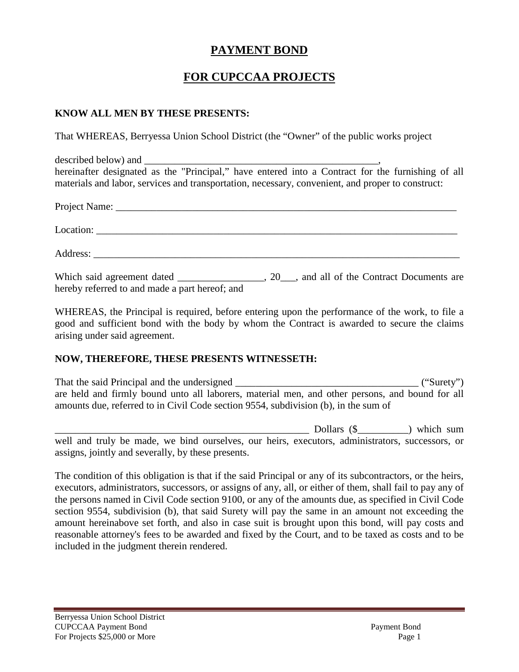### **PAYMENT BOND**

## **FOR CUPCCAA PROJECTS**

#### **KNOW ALL MEN BY THESE PRESENTS:**

That WHEREAS, Berryessa Union School District (the "Owner" of the public works project

described below) and hereinafter designated as the "Principal," have entered into a Contract for the furnishing of all materials and labor, services and transportation, necessary, convenient, and proper to construct:

| hereby referred to and made a part hereof; and |  |
|------------------------------------------------|--|

WHEREAS, the Principal is required, before entering upon the performance of the work, to file a good and sufficient bond with the body by whom the Contract is awarded to secure the claims arising under said agreement.

#### **NOW, THEREFORE, THESE PRESENTS WITNESSETH:**

That the said Principal and the undersigned \_\_\_\_\_\_\_\_\_\_\_\_\_\_\_\_\_\_\_\_\_\_\_\_\_\_\_\_\_\_\_\_\_\_\_\_ ("Surety") are held and firmly bound unto all laborers, material men, and other persons, and bound for all amounts due, referred to in Civil Code section 9554, subdivision (b), in the sum of

\_\_\_\_\_\_\_\_\_\_\_\_\_\_\_\_\_\_\_\_\_\_\_\_\_\_\_\_\_\_\_\_\_\_\_\_\_\_\_\_\_\_\_\_\_\_\_\_\_\_ Dollars (\$\_\_\_\_\_\_\_\_\_\_) which sum well and truly be made, we bind ourselves, our heirs, executors, administrators, successors, or assigns, jointly and severally, by these presents.

The condition of this obligation is that if the said Principal or any of its subcontractors, or the heirs, executors, administrators, successors, or assigns of any, all, or either of them, shall fail to pay any of the persons named in Civil Code section 9100, or any of the amounts due, as specified in Civil Code section 9554, subdivision (b), that said Surety will pay the same in an amount not exceeding the amount hereinabove set forth, and also in case suit is brought upon this bond, will pay costs and reasonable attorney's fees to be awarded and fixed by the Court, and to be taxed as costs and to be included in the judgment therein rendered.